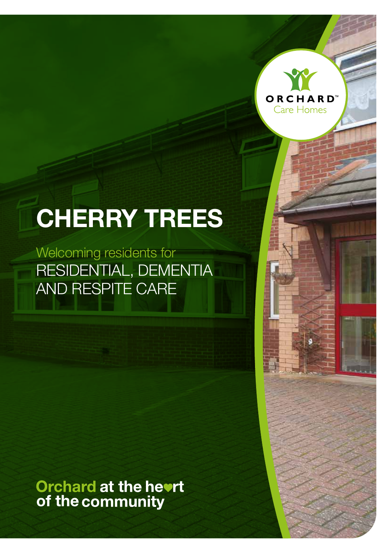

# **CHERRY TREES**

Welcoming residents for RESIDENTIAL, DEMENTIA AND RESPITE CARE

Orchard at the hevrt<br>of the community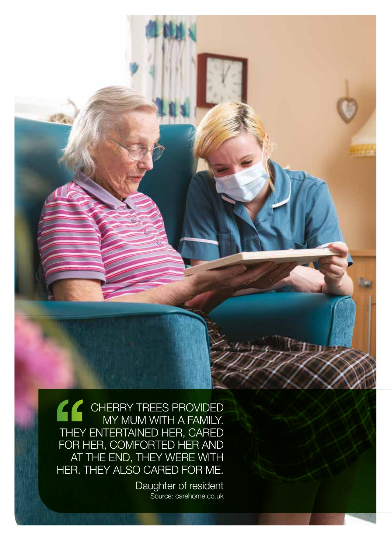CHERRY TREES PROVIDED MY MUM WITH A FAMILY. THEY ENTERTAINED HER, CARED FOR HER, COMFORTED HER AND AT THE END, THEY WERE WITH HER. THEY ALSO CARED FOR ME.

> Daughter of resident Source: carehome.co.uk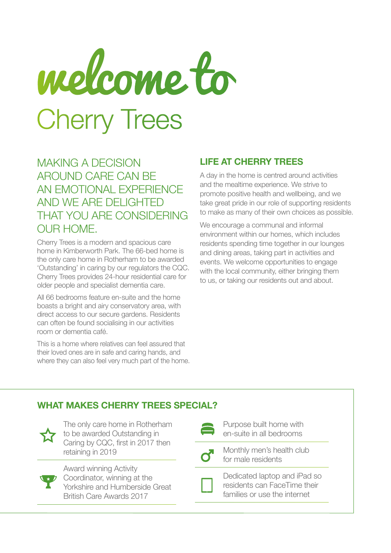# Cherry Trees welcome to

MAKING A DECISION AROUND CARE CAN BE AN EMOTIONAL EXPERIENCE AND WE ARE DELIGHTED THAT YOU ARE CONSIDERING OUR HOME.

Cherry Trees is a modern and spacious care home in Kimberworth Park. The 66-bed home is the only care home in Rotherham to be awarded 'Outstanding' in caring by our regulators the CQC. Cherry Trees provides 24-hour residential care for older people and specialist dementia care.

All 66 bedrooms feature en-suite and the home boasts a bright and airy conservatory area, with direct access to our secure gardens. Residents can often be found socialising in our activities room or dementia café.

This is a home where relatives can feel assured that their loved ones are in safe and caring hands, and where they can also feel very much part of the home.

#### **LIFE AT CHERRY TREES**

A day in the home is centred around activities and the mealtime experience. We strive to promote positive health and wellbeing, and we take great pride in our role of supporting residents to make as many of their own choices as possible.

We encourage a communal and informal environment within our homes, which includes residents spending time together in our lounges and dining areas, taking part in activities and events. We welcome opportunities to engage with the local community, either bringing them to us, or taking our residents out and about.

### **WHAT MAKES CHERRY TREES SPECIAL?**



The only care home in Rotherham to be awarded Outstanding in Caring by CQC, first in 2017 then retaining in 2019



Award winning Activity Coordinator, winning at the Yorkshire and Humberside Great British Care Awards 2017

| × | ۰.<br>۰, | __ | - 1<br>× |
|---|----------|----|----------|
|   | ×        |    |          |
|   |          |    |          |

Purpose built home with en-suite in all bedrooms

Monthly men's health club for male residents



Dedicated laptop and iPad so residents can FaceTime their families or use the internet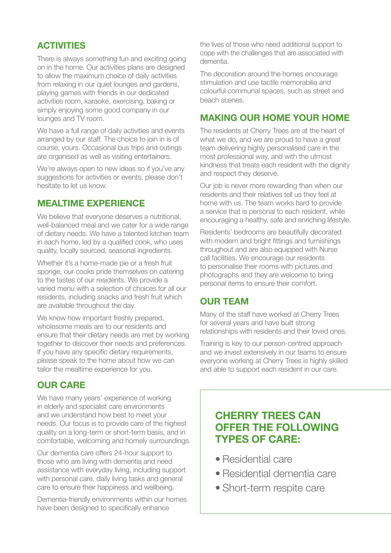#### **ACTIVITIES**

There is always something fun and exciting going on in the home. Our activities plans are designed to allow the maximum choice of daily activities from relaxing in our quiet lounges and gardens, playing games with friends in our dedicated activities room, karaoke, exercising, baking or simply enjoying some good company in our lounges and TV room.

We have a full range of daily activities and events arranged by our staff. The choice to join in is of course, yours. Occasional bus trips and outings are organised as well as visiting entertainers.

We're always open to new ideas so if you've any suggestions for activities or events, please don't hesitate to let us know.

#### **MEALTIME EXPERIENCE**

We believe that everyone deserves a nutritional, well-balanced meal and we cater for a wide range of dietary needs. We have a talented kitchen team in each home, led by a qualified cook, who uses quality, locally sourced, seasonal ingredients.

Whether it's a home-made pie or a fresh fruit sponge, our cooks pride themselves on catering to the tastes of our residents. We provide a varied menu with a selection of choices for all our residents, including snacks and fresh fruit which are available throughout the day.

We know how important freshly prepared, wholesome meals are to our residents and ensure that their dietary needs are met by working together to discover their needs and preferences. If you have any specific dietary requirements, please speak to the home about how we can tailor the mealtime experience for you.

#### **OUR CARE**

We have many years' experience of working in elderly and specialist care environments and we understand how best to meet your needs. Our focus is to provide care of the highest quality on a long-term or short-term basis, and in comfortable, welcoming and homely surroundings.

Our dementia care offers 24-hour support to those who are living with dementia and need assistance with everyday living, including support with personal care, daily living tasks and general care to ensure their happiness and wellbeing.

Dementia-friendly environments within our homes have been designed to specifically enhance

the lives of those who need additional support to cope with the challenges that are associated with dementia.

The decoration around the homes encourage stimulation and use tactile memorabilia and colourful communal spaces, such as street and beach scenes.

#### **MAKING OUR HOME YOUR HOME**

The residents at Cherry Trees are at the heart of what we do, and we are proud to have a great team delivering highly personalised care in the most professional way, and with the utmost kindness that treats each resident with the dignity and respect they deserve.

Our job is never more rewarding than when our residents and their relatives tell us they feel at home with us. The team works hard to provide a service that is personal to each resident, while encouraging a healthy, safe and enriching lifestyle.

Residents' bedrooms are beautifully decorated with modern and bright fittings and furnishings throughout and are also equipped with Nurse call facilities. We encourage our residents to personalise their rooms with pictures and photographs and they are welcome to bring personal items to ensure their comfort.

#### **OUR TEAM**

Many of the staff have worked at Cherry Trees for several years and have built strong relationships with residents and their loved ones.

Training is key to our person-centred approach and we invest extensively in our teams to ensure everyone working at Cherry Trees is highly skilled and able to support each resident in our care.

## **CHERRY TREES CAN OFFER THE FOLLOWING TYPES OF CARE:**

- Residential care
- Residential dementia care
- Short-term respite care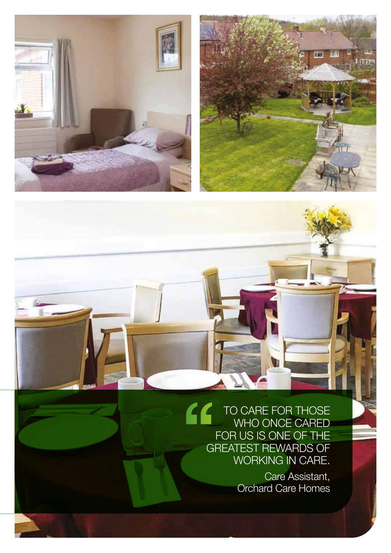



TO CARE FOR THOSE WHO ONCE CARED FOR US IS ONE OF THE GREATEST REWARDS OF WORKING IN CARE.

> Care Assistant, Orchard Care Homes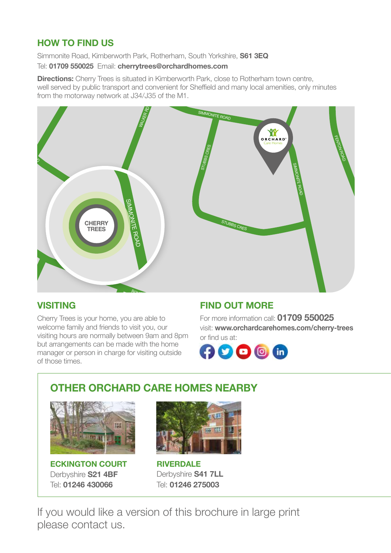#### **HOW TO FIND US**

Simmonite Road, Kimberworth Park, Rotherham, South Yorkshire, **S61 3EQ**

#### Tel: **01709 550025** Email: **cherrytrees@orchardhomes.com**

**EXECTED REVERTS:** CHONG THE SHOULD REFLEXING THE VALUED VIOLET CAN, SHOULD REPORT ON THE SHAPP WE SHAPP WE SHAPP WE<br>From the motorway network at J34/J35 of the M1. **Directions:** Cherry Trees is situated in Kimberworth Park, close to Rotherham town centre, from the motorway network at J34/J35 of the M1.



#### **VISITING**

nome<br>riend<br>mally Cherry Trees is your home, you are able to welcome family and friends to visit you, our visiting hours are normally between 9am and 8pm but arrangements can be made with the home manager or person in charge for visiting outside of those times.

#### **FIND OUT MORE**

For more information call: **01709 550025** visit: **www.orchardcarehomes.com/cherry-trees** or find us at:



# **OTHER ORCHARD CARE HOMES NEARBY**

TEN ACRE RD



**ECKINGTON COURT** Derbyshire **S21 4BF** Tel: **01246 430066**



**RIVERDALE** Derbyshire **S41 7LL** Tel: **01246 275003**

If you would like a version of this brochure in large print please contact us.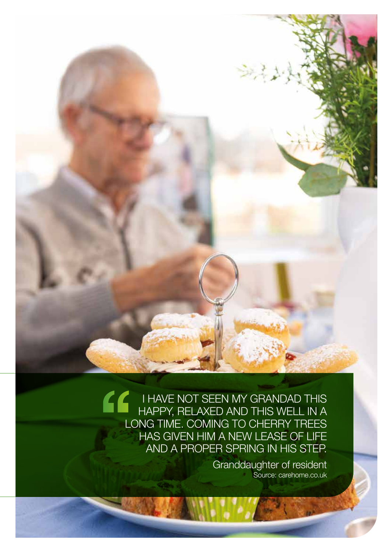$\epsilon$ I HAVE NOT SEEN MY GRANDAD THIS HAPPY, RELAXED AND THIS WELL IN A LONG TIME. COMING TO CHERRY TREES HAS GIVEN HIM A NEW LEASE OF LIFE AND A PROPER SPRING IN HIS STEP.

> Granddaughter of resident Source: carehome.co.uk

**Designation** 

实